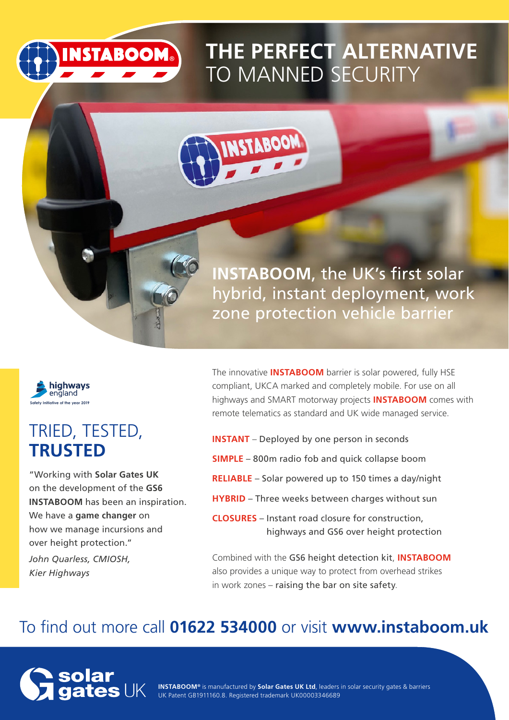

# **THE PERFECT ALTERNATIVE** TO MANNED SECURITY





highways england **Safety Initiative of the year 2019**

### TRIED, TESTED, **TRUSTED**

"Working with **Solar Gates UK** on the development of the **GS6 INSTABOOM** has been an inspiration. We have a **game changer** on how we manage incursions and over height protection."

*John Quarless, CMIOSH, Kier Highways* 

The innovative **INSTABOOM** barrier is solar powered, fully HSE compliant, UKCA marked and completely mobile. For use on all highways and SMART motorway projects **INSTABOOM** comes with remote telematics as standard and UK wide managed service.

- **INSTANT** Deployed by one person in seconds
- **SIMPLE** 800m radio fob and quick collapse boom
- **RELIABLE** Solar powered up to 150 times a day/night
- **HYBRID** Three weeks between charges without sun
- **CLOSURES** Instant road closure for construction, highways and GS6 over height protection

Combined with the GS6 height detection kit, **INSTABOOM** also provides a unique way to protect from overhead strikes in work zones – raising the bar on site safety.

### To find out more call **01622 534000** or visit **www.instaboom.uk**



**INSTABOOM®** is manufactured by **Solar Gates UK Ltd**, leaders in solar security gates & barriers UK Patent GB1911160.8. Registered trademark UK00003346689